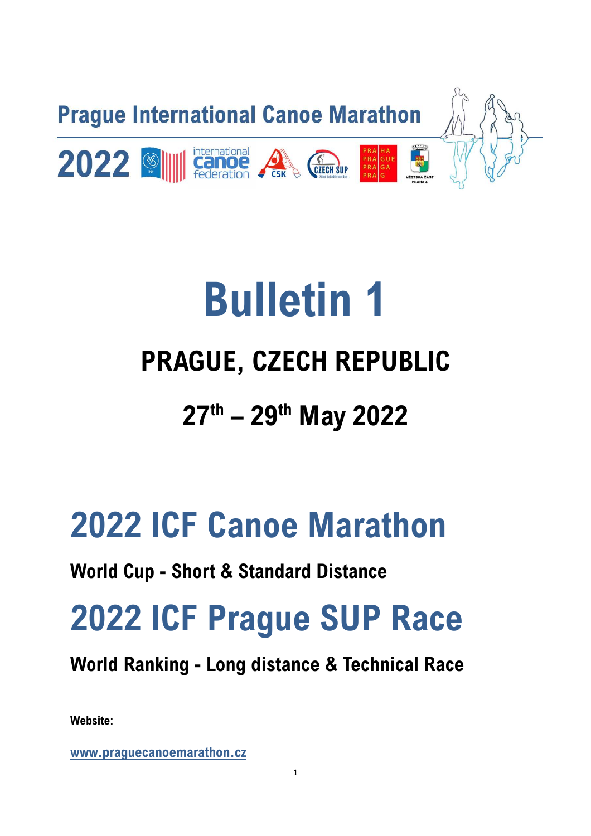

# **Bulletin 1 PRAGUE, CZECH REPUBLIC 27th – 29th May 2022**

## **2022 ICF Canoe Marathon**

### **World Cup - Short & Standard Distance**

## **2022 ICF Prague SUP Race**

### **World Ranking - Long distance & Technical Race**

**Website:** 

**www.praguecanoemarathon.cz**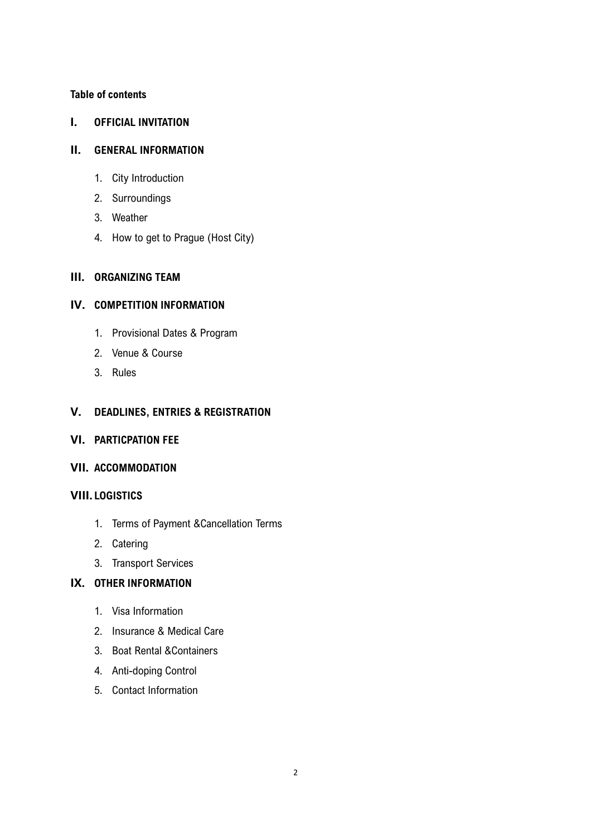#### **Table of contents**

#### **I. OFFICIAL INVITATION**

#### **II. GENERAL INFORMATION**

- 1. City Introduction
- 2. Surroundings
- 3. Weather
- 4. How to get to Prague (Host City)

#### **III. ORGANIZING TEAM**

#### **IV. COMPETITION INFORMATION**

- 1. Provisional Dates & Program
- 2. Venue & Course
- 3. Rules

#### **V. DEADLINES, ENTRIES & REGISTRATION**

- **VI. PARTICPATION FEE**
- **VII. ACCOMMODATION**

#### **VIII. LOGISTICS**

- 1. Terms of Payment &Cancellation Terms
- 2. Catering
- 3. Transport Services

#### **IX. OTHER INFORMATION**

- 1. Visa Information
- 2. Insurance & Medical Care
- 3. Boat Rental &Containers
- 4. Anti-doping Control
- 5. Contact Information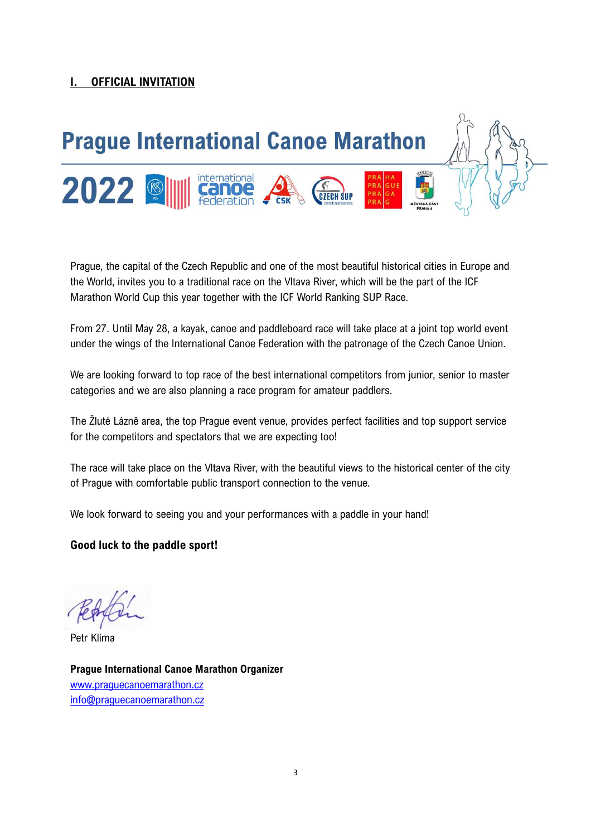#### **I. OFFICIAL INVITATION**



Prague, the capital of the Czech Republic and one of the most beautiful historical cities in Europe and the World, invites you to a traditional race on the Vltava River, which will be the part of the ICF Marathon World Cup this year together with the ICF World Ranking SUP Race.

From 27. Until May 28, a kayak, canoe and paddleboard race will take place at a joint top world event under the wings of the International Canoe Federation with the patronage of the Czech Canoe Union.

We are looking forward to top race of the best international competitors from junior, senior to master categories and we are also planning a race program for amateur paddlers.

The Žluté Lázně area, the top Prague event venue, provides perfect facilities and top support service for the competitors and spectators that we are expecting too!

The race will take place on the Vltava River, with the beautiful views to the historical center of the city of Prague with comfortable public transport connection to the venue.

We look forward to seeing you and your performances with a paddle in your hand!

#### **Good luck to the paddle sport!**

Petr Klíma

**Prague International Canoe Marathon Organizer**  www.praguecanoemarathon.cz info@praguecanoemarathon.cz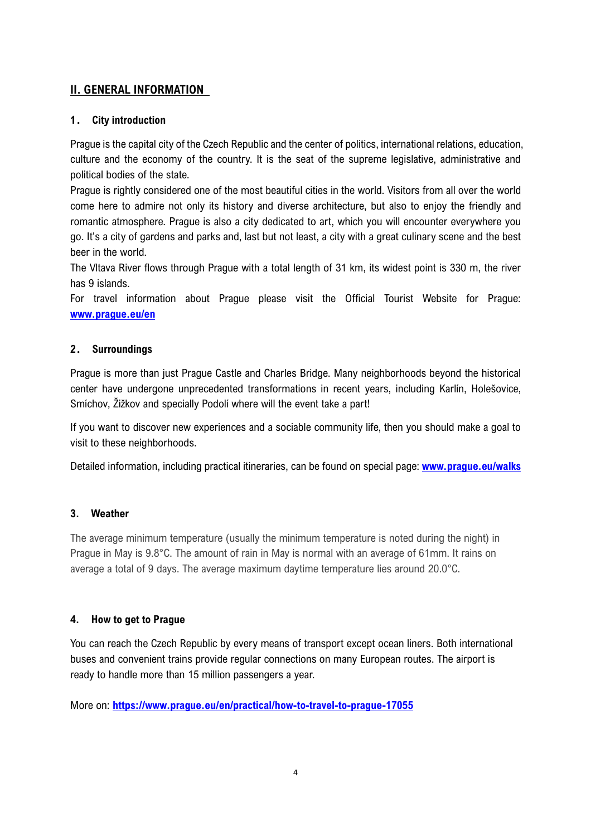#### **II. GENERAL INFORMATION**

#### **1. City introduction**

Prague is the capital city of the Czech Republic and the center of politics, international relations, education, culture and the economy of the country. It is the seat of the supreme legislative, administrative and political bodies of the state.

Prague is rightly considered one of the most beautiful cities in the world. Visitors from all over the world come here to admire not only its history and diverse architecture, but also to enjoy the friendly and romantic atmosphere. Prague is also a city dedicated to art, which you will encounter everywhere you go. It's a city of gardens and parks and, last but not least, a city with a great culinary scene and the best beer in the world.

The Vltava River flows through Prague with a total length of 31 km, its widest point is 330 m, the river has 9 islands.

For travel information about Prague please visit the Official Tourist Website for Prague: **www.prague.eu/en** 

#### **2. Surroundings**

Prague is more than just Prague Castle and Charles Bridge. Many neighborhoods beyond the historical center have undergone unprecedented transformations in recent years, including Karlín, Holešovice, Smíchov, Žižkov and specially Podolí where will the event take a part!

If you want to discover new experiences and a sociable community life, then you should make a goal to visit to these neighborhoods.

Detailed information, including practical itineraries, can be found on special page: **www.prague.eu/walks** 

#### **3. Weather**

The average minimum temperature (usually the minimum temperature is noted during the night) in Prague in May is 9.8°C. The amount of rain in May is normal with an average of 61mm. It rains on average a total of 9 days. The average maximum daytime temperature lies around 20.0°C.

#### **4. How to get to Prague**

You can reach the Czech Republic by every means of transport except ocean liners. Both international buses and convenient trains provide regular connections on many European routes. The airport is ready to handle more than 15 million passengers a year.

More on: **https://www.prague.eu/en/practical/how-to-travel-to-prague-17055**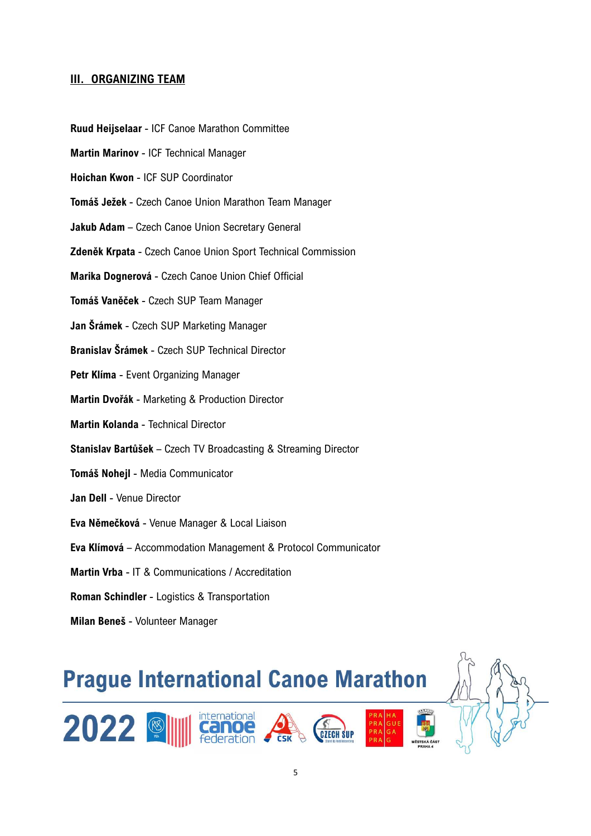#### **III. ORGANIZING TEAM**

- **Ruud Heijselaar** ICF Canoe Marathon Committee
- **Martin Marinov** ICF Technical Manager
- **Hoichan Kwon** ICF SUP Coordinator
- **Tomáš Ježek** Czech Canoe Union Marathon Team Manager
- **Jakub Adam** Czech Canoe Union Secretary General
- **Zdeněk Krpata** Czech Canoe Union Sport Technical Commission
- **Marika Dognerová** Czech Canoe Union Chief Official
- **Tomáš Vaněček** Czech SUP Team Manager
- **Jan Šrámek** Czech SUP Marketing Manager
- **Branislav Šrámek** Czech SUP Technical Director
- **Petr Klíma** Event Organizing Manager
- **Martin Dvořák** Marketing & Production Director
- **Martin Kolanda** Technical Director
- **Stanislav Bartůšek** Czech TV Broadcasting & Streaming Director
- **Tomáš Nohejl** Media Communicator
- **Jan Dell** Venue Director
- **Eva Němečková** Venue Manager & Local Liaison
- **Eva Klímová** Accommodation Management & Protocol Communicator
- **Martin Vrba** IT & Communications / Accreditation
- **Roman Schindler** Logistics & Transportation
- **Milan Beneš** Volunteer Manager

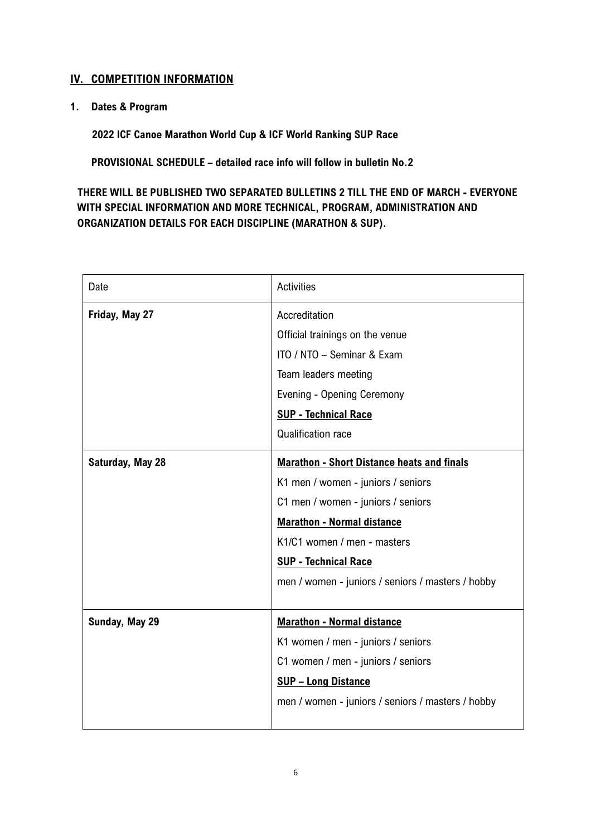#### **IV. COMPETITION INFORMATION**

**1. Dates & Program** 

**2022 ICF Canoe Marathon World Cup & ICF World Ranking SUP Race** 

 **PROVISIONAL SCHEDULE – detailed race info will follow in bulletin No.2** 

**THERE WILL BE PUBLISHED TWO SEPARATED BULLETINS 2 TILL THE END OF MARCH - EVERYONE WITH SPECIAL INFORMATION AND MORE TECHNICAL, PROGRAM, ADMINISTRATION AND ORGANIZATION DETAILS FOR EACH DISCIPLINE (MARATHON & SUP).** 

| Date             | <b>Activities</b>                                 |
|------------------|---------------------------------------------------|
| Friday, May 27   | Accreditation                                     |
|                  | Official trainings on the venue                   |
|                  | ITO / NTO - Seminar & Exam                        |
|                  | Team leaders meeting                              |
|                  | Evening - Opening Ceremony                        |
|                  | <b>SUP - Technical Race</b>                       |
|                  | <b>Qualification race</b>                         |
| Saturday, May 28 | <b>Marathon - Short Distance heats and finals</b> |
|                  | K1 men / women - juniors / seniors                |
|                  | C1 men / women - juniors / seniors                |
|                  | <b>Marathon - Normal distance</b>                 |
|                  | K1/C1 women / men - masters                       |
|                  | <b>SUP - Technical Race</b>                       |
|                  | men / women - juniors / seniors / masters / hobby |
|                  |                                                   |
| Sunday, May 29   | <b>Marathon - Normal distance</b>                 |
|                  | K1 women / men - juniors / seniors                |
|                  | C1 women / men - juniors / seniors                |
|                  | <b>SUP - Long Distance</b>                        |
|                  | men / women - juniors / seniors / masters / hobby |
|                  |                                                   |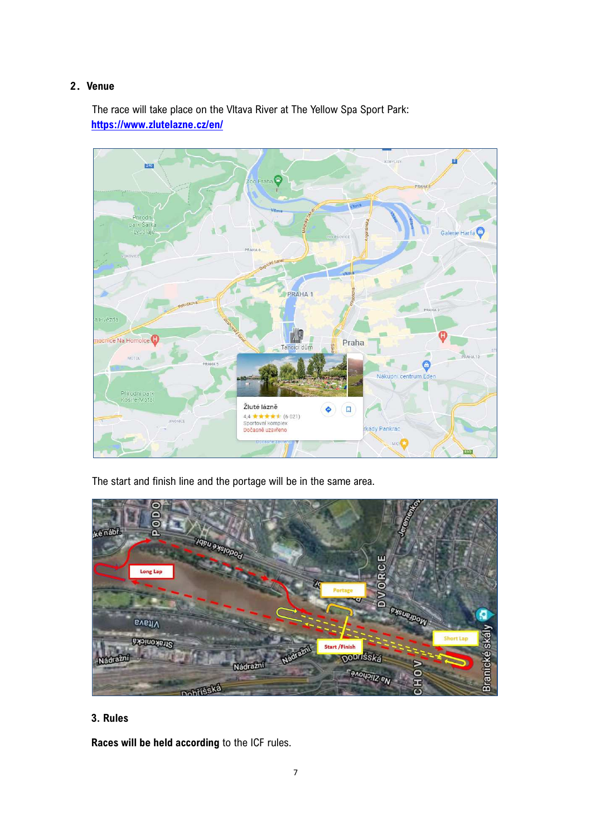#### **2.Venue**

The race will take place on the Vltava River at The Yellow Spa Sport Park: **https://www.zlutelazne.cz/en/** 



The start and finish line and the portage will be in the same area.



#### **3. Rules**

**Races will be held according** to the ICF rules.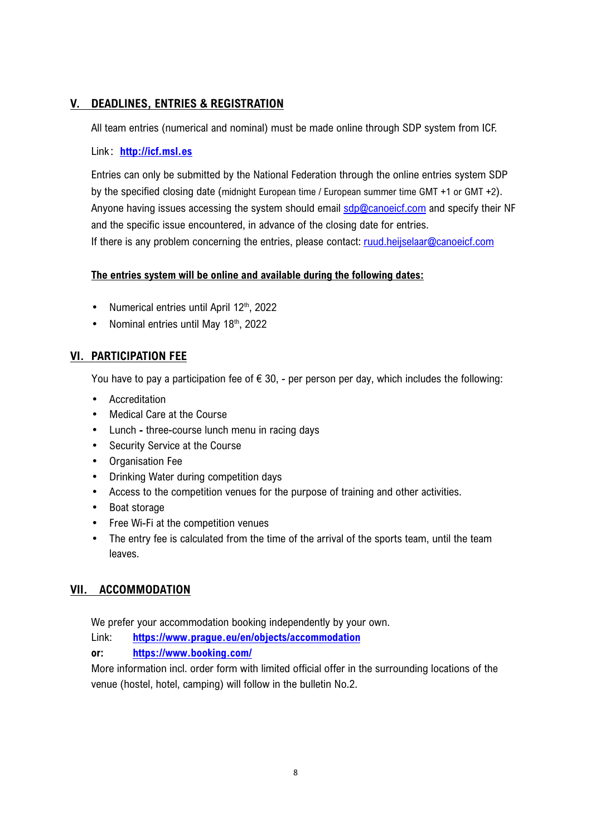#### **V. DEADLINES, ENTRIES & REGISTRATION**

All team entries (numerical and nominal) must be made online through SDP system from ICF.

#### Link:**http://icf.msl.es**

Entries can only be submitted by the National Federation through the online entries system SDP by the specified closing date (midnight European time / European summer time GMT +1 or GMT +2). Anyone having issues accessing the system should email sdp@canoeicf.com and specify their NF and the specific issue encountered, in advance of the closing date for entries. If there is any problem concerning the entries, please contact: ruud.heijselaar@canoeicf.com

#### **The entries system will be online and available during the following dates:**

- Numerical entries until April 12<sup>th</sup>, 2022
- Nominal entries until May 18th, 2022

#### **VI. PARTICIPATION FEE**

You have to pay a participation fee of  $\epsilon$  30, - per person per day, which includes the following:

- Accreditation
- Medical Care at the Course
- Lunch **-** three-course lunch menu in racing days
- Security Service at the Course
- Organisation Fee
- Drinking Water during competition days
- Access to the competition venues for the purpose of training and other activities.
- Boat storage
- Free Wi-Fi at the competition venues
- The entry fee is calculated from the time of the arrival of the sports team, until the team leaves.

#### **VII. ACCOMMODATION**

We prefer your accommodation booking independently by your own.

Link: **https://www.prague.eu/en/objects/accommodation**

**or: https://www.booking.com/**

More information incl. order form with limited official offer in the surrounding locations of the venue (hostel, hotel, camping) will follow in the bulletin No.2.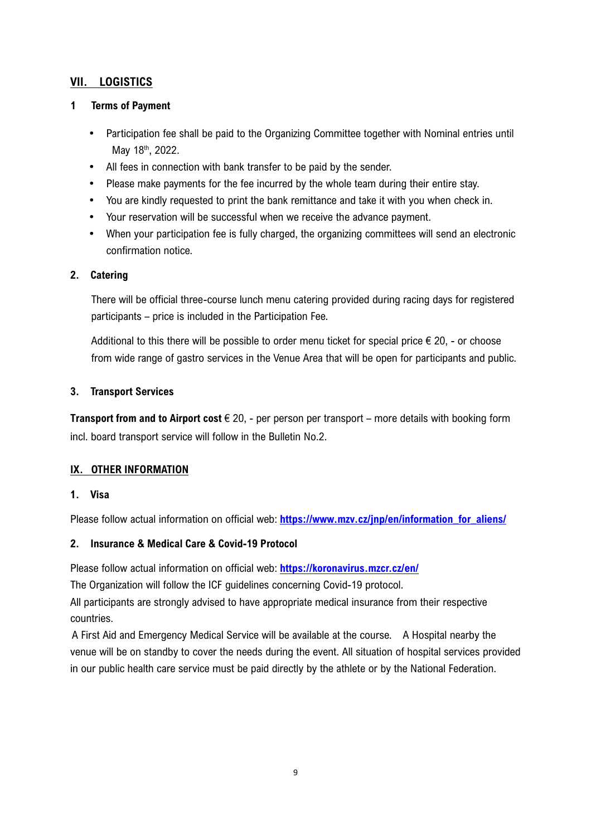#### **VII. LOGISTICS**

#### **1 Terms of Payment**

- Participation fee shall be paid to the Organizing Committee together with Nominal entries until May 18<sup>th</sup>, 2022.
- All fees in connection with bank transfer to be paid by the sender.
- Please make payments for the fee incurred by the whole team during their entire stay.
- You are kindly requested to print the bank remittance and take it with you when check in.
- Your reservation will be successful when we receive the advance payment.
- When your participation fee is fully charged, the organizing committees will send an electronic confirmation notice.

#### **2. Catering**

There will be official three-course lunch menu catering provided during racing days for registered participants – price is included in the Participation Fee.

Additional to this there will be possible to order menu ticket for special price  $\epsilon$  20, - or choose from wide range of gastro services in the Venue Area that will be open for participants and public.

#### **3. Transport Services**

**Transport from and to Airport cost** € 20, - per person per transport – more details with booking form incl. board transport service will follow in the Bulletin No.2.

#### **IX. OTHER INFORMATION**

#### **1. Visa**

Please follow actual information on official web: **https://www.mzv.cz/jnp/en/information\_for\_aliens/** 

#### **2. Insurance & Medical Care & Covid-19 Protocol**

Please follow actual information on official web: **https://koronavirus.mzcr.cz/en/** 

The Organization will follow the ICF guidelines concerning Covid-19 protocol.

All participants are strongly advised to have appropriate medical insurance from their respective countries.

A First Aid and Emergency Medical Service will be available at the course. A Hospital nearby the venue will be on standby to cover the needs during the event. All situation of hospital services provided in our public health care service must be paid directly by the athlete or by the National Federation.